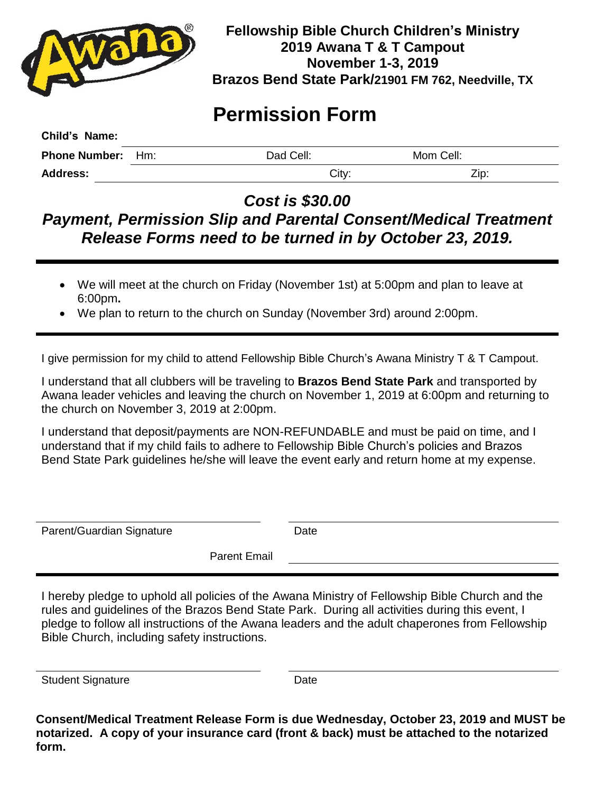

## **Fellowship Bible Church Children's Ministry 2019 Awana T & T Campout November 1-3, 2019 Brazos Bend State Park/21901 FM 762, Needville, TX**

## **Permission Form**

| Child's Name:            |           |           |  |
|--------------------------|-----------|-----------|--|
| <b>Phone Number:</b> Hm: | Dad Cell: | Mom Cell: |  |
| <b>Address:</b>          | City:     | Zip:      |  |

*Cost is \$30.00* 

## *Payment, Permission Slip and Parental Consent/Medical Treatment Release Forms need to be turned in by October 23, 2019.*

- We will meet at the church on Friday (November 1st) at 5:00pm and plan to leave at 6:00pm**.**
- We plan to return to the church on Sunday (November 3rd) around 2:00pm.

I give permission for my child to attend Fellowship Bible Church's Awana Ministry T & T Campout.

I understand that all clubbers will be traveling to **Brazos Bend State Park** and transported by Awana leader vehicles and leaving the church on November 1, 2019 at 6:00pm and returning to the church on November 3, 2019 at 2:00pm.

I understand that deposit/payments are NON-REFUNDABLE and must be paid on time, and I understand that if my child fails to adhere to Fellowship Bible Church's policies and Brazos Bend State Park guidelines he/she will leave the event early and return home at my expense.

| Parent/Guardian Signature | Date |  |
|---------------------------|------|--|
|                           |      |  |

Parent Email

I hereby pledge to uphold all policies of the Awana Ministry of Fellowship Bible Church and the rules and guidelines of the Brazos Bend State Park. During all activities during this event, I pledge to follow all instructions of the Awana leaders and the adult chaperones from Fellowship Bible Church, including safety instructions.

Student Signature Date

**Consent/Medical Treatment Release Form is due Wednesday, October 23, 2019 and MUST be notarized. A copy of your insurance card (front & back) must be attached to the notarized form.**